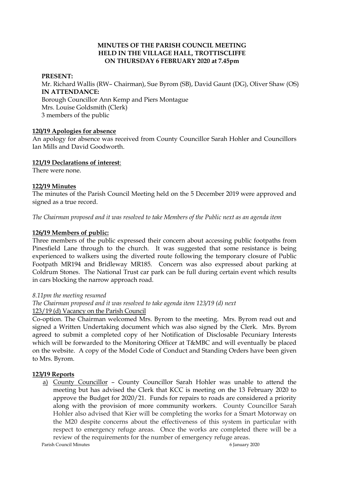#### **MINUTES OF THE PARISH COUNCIL MEETING HELD IN THE VILLAGE HALL, TROTTISCLIFFE ON THURSDAY 6 FEBRUARY 2020 at 7.45pm**

#### **PRESENT:**

Mr. Richard Wallis (RW– Chairman), Sue Byrom (SB), David Gaunt (DG), Oliver Shaw (OS) **IN ATTENDANCE:**  Borough Councillor Ann Kemp and Piers Montague Mrs. Louise Goldsmith (Clerk) 3 members of the public

#### **120/19 Apologies for absence**

An apology for absence was received from County Councillor Sarah Hohler and Councillors Ian Mills and David Goodworth.

### **121/19 Declarations of interest**:

There were none.

### **122/19 Minutes**

The minutes of the Parish Council Meeting held on the 5 December 2019 were approved and signed as a true record.

*The Chairman proposed and it was resolved to take Members of the Public next as an agenda item*

### **126/19 Members of public:**

Three members of the public expressed their concern about accessing public footpaths from Pinesfield Lane through to the church. It was suggested that some resistance is being experienced to walkers using the diverted route following the temporary closure of Public Footpath MR194 and Bridleway MR185. Concern was also expressed about parking at Coldrum Stones. The National Trust car park can be full during certain event which results in cars blocking the narrow approach road.

#### *8.11pm the meeting resumed*

*The Chairman proposed and it was resolved to take agenda item 123/19 (d) next* 123/19 (d) Vacancy on the Parish Council

Co-option. The Chairman welcomed Mrs. Byrom to the meeting. Mrs. Byrom read out and signed a Written Undertaking document which was also signed by the Clerk. Mrs. Byrom agreed to submit a completed copy of her Notification of Disclosable Pecuniary Interests which will be forwarded to the Monitoring Officer at T&MBC and will eventually be placed on the website. A copy of the Model Code of Conduct and Standing Orders have been given to Mrs. Byrom.

### **123/19 Reports**

a) County Councillor – County Councillor Sarah Hohler was unable to attend the meeting but has advised the Clerk that KCC is meeting on the 13 February 2020 to approve the Budget for 2020/21. Funds for repairs to roads are considered a priority along with the provision of more community workers. County Councillor Sarah Hohler also advised that Kier will be completing the works for a Smart Motorway on the M20 despite concerns about the effectiveness of this system in particular with respect to emergency refuge areas. Once the works are completed there will be a review of the requirements for the number of emergency refuge areas.

Parish Council Minutes 6 January 2020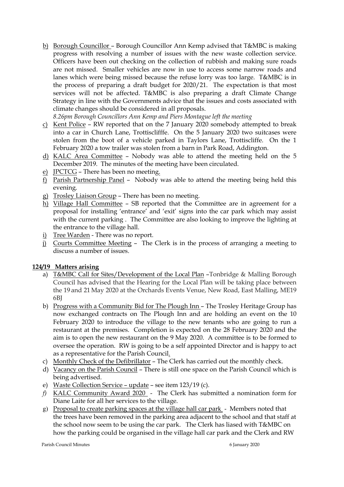b) Borough Councillor – Borough Councillor Ann Kemp advised that T&MBC is making progress with resolving a number of issues with the new waste collection service. Officers have been out checking on the collection of rubbish and making sure roads are not missed. Smaller vehicles are now in use to access some narrow roads and lanes which were being missed because the refuse lorry was too large. T&MBC is in the process of preparing a draft budget for 2020/21. The expectation is that most services will not be affected. T&MBC is also preparing a draft Climate Change Strategy in line with the Governments advice that the issues and costs associated with climate changes should be considered in all proposals.

*8.26pm Borough Councillors Ann Kemp and Piers Montague left the meeting*

- c) Kent Police RW reported that on the 7 January 2020 somebody attempted to break into a car in Church Lane, Trottisclifffe. On the 5 January 2020 two suitcases were stolen from the boot of a vehicle parked in Taylors Lane, Trottiscliffe. On the 1 February 2020 a tow trailer was stolen from a barn in Park Road, Addington.
- d) KALC Area Committee Nobody was able to attend the meeting held on the 5 December 2019. The minutes of the meeting have been circulated.
- e) JPCTCG There has been no meeting.
- f) Parish Partnership Panel Nobody was able to attend the meeting being held this evening.
- g) Trosley Liaison Group There has been no meeting.
- h) Village Hall Committee SB reported that the Committee are in agreement for a proposal for installing 'entrance' and 'exit' signs into the car park which may assist with the current parking . The Committee are also looking to improve the lighting at the entrance to the village hall.
- i) Tree Warden There was no report.
- j) Courts Committee Meeting The Clerk is in the process of arranging a meeting to discuss a number of issues.

# **124/19 Matters arising**

- a) T&MBC Call for Sites/Development of the Local Plan –Tonbridge & Malling Borough Council has advised that the Hearing for the Local Plan will be taking place between the 19 and 21 May 2020 at the Orchards Events Venue, New Road, East Malling, ME19 6BJ
- b) Progress with a Community Bid for The Plough Inn The Trosley Heritage Group has now exchanged contracts on The Plough Inn and are holding an event on the 10 February 2020 to introduce the village to the new tenants who are going to run a restaurant at the premises. Completion is expected on the 28 February 2020 and the aim is to open the new restaurant on the 9 May 2020. A committee is to be formed to oversee the operation. RW is going to be a self appointed Director and is happy to act as a representative for the Parish Council.
- c) Monthly Check of the Defibrillator The Clerk has carried out the monthly check.
- d) Vacancy on the Parish Council There is still one space on the Parish Council which is being advertised.
- e) Waste Collection Service update see item 123/19 (c).
- *f)* KALC Community Award 2020 The Clerk has submitted a nomination form for Diane Laite for all her services to the village.
- g) Proposal to create parking spaces at the village hall car park Members noted that the trees have been removed in the parking area adjacent to the school and that staff at the school now seem to be using the car park. The Clerk has liased with T&MBC on how the parking could be organised in the village hall car park and the Clerk and RW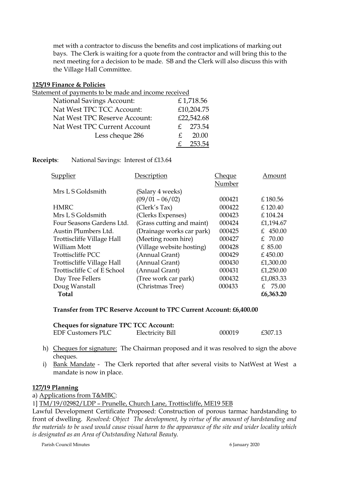met with a contractor to discuss the benefits and cost implications of marking out bays. The Clerk is waiting for a quote from the contractor and will bring this to the next meeting for a decision to be made. SB and the Clerk will also discuss this with the Village Hall Committee.

#### **125/19 Finance & Policies**

| Statement of payments to be made and income received |    |            |  |  |
|------------------------------------------------------|----|------------|--|--|
| <b>National Savings Account:</b>                     |    | £1,718.56  |  |  |
| Nat West TPC TCC Account:                            |    | £10,204.75 |  |  |
| Nat West TPC Reserve Account:                        |    | £22,542.68 |  |  |
| Nat West TPC Current Account                         |    | £ 273.54   |  |  |
| Less cheque 286                                      | £. | 20.00      |  |  |
|                                                      |    | 253.54     |  |  |

**Receipts**: National Savings: Interest of £13.64

| Supplier                    | Description               | Cheque | Amount    |
|-----------------------------|---------------------------|--------|-----------|
|                             |                           | Number |           |
| Mrs L S Goldsmith           | (Salary 4 weeks)          |        |           |
|                             | $(09/01 - 06/02)$         | 000421 | £180.56   |
| <b>HMRC</b>                 | (Clerk's Tax)             | 000422 | £120.40   |
| Mrs L S Goldsmith           | (Clerks Expenses)         | 000423 | £104.24   |
| Four Seasons Gardens Ltd.   | (Grass cutting and maint) | 000424 | £1,194.67 |
| Austin Plumbers Ltd.        | (Drainage works car park) | 000425 | £ 450.00  |
| Trottiscliffe Village Hall  | (Meeting room hire)       | 000427 | £ 70.00   |
| <b>William Mott</b>         | (Village website hosting) | 000428 | $£$ 85.00 |
| <b>Trottiscliffe PCC</b>    | (Annual Grant)            | 000429 | £450.00   |
| Trottiscliffe Village Hall  | (Annual Grant)            | 000430 | £1,300.00 |
| Trottiscliffe C of E School | (Annual Grant)            | 000431 | £1,250.00 |
| Day Tree Fellers            | (Tree work car park)      | 000432 | £1,083.33 |
| Doug Wanstall               | (Christmas Tree)          | 000433 | £ 75.00   |
| <b>Total</b>                |                           |        | £6,363.20 |

### **Transfer from TPC Reserve Account to TPC Current Account: £6,400.00**

| <b>Cheques for signature TPC TCC Account:</b> |                  |        |         |  |  |
|-----------------------------------------------|------------------|--------|---------|--|--|
| <b>EDF Customers PLC</b>                      | Electricity Bill | 000019 | £307.13 |  |  |

- h) Cheques for signature: The Chairman proposed and it was resolved to sign the above cheques.
- i) Bank Mandate The Clerk reported that after several visits to NatWest at West a mandate is now in place.

### **127/19 Planning**

a) Applications from T&MBC:

1] TM/19/02982/LDP – Prunelle, Church Lane, Trottiscliffe, ME19 5EB

Lawful Development Certificate Proposed: Construction of porous tarmac hardstanding to front of dwelling. *Resolved: Object The development, by virtue of the amount of hardstanding and the materials to be used would cause visual harm to the appearance of the site and wider locality which is designated as an Area of Outstanding Natural Beauty.* 

Parish Council Minutes 6 January 2020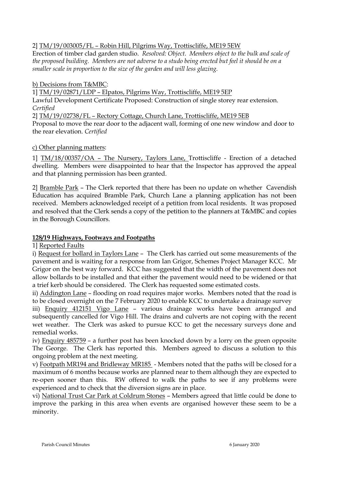2] TM/19/003005/FL – Robin Hill, Pilgrims Way, Trottiscliffe, ME19 5EW

Erection of timber clad garden studio. *Resolved: Object. Members object to the bulk and scale of the proposed building. Members are not adverse to a studo being erected but feel it should be on a smaller scale in proportion to the size of the garden and will less glazing.* 

b) Decisions from T&MBC:

1] TM/19/02871/LDP – Elpatos, Pilgrims Way, Trottiscliffe, ME19 5EP

Lawful Development Certificate Proposed: Construction of single storey rear extension. *Certified*

2] TM/19/02738/FL – Rectory Cottage, Church Lane, Trottiscliffe, ME19 5EB

Proposal to move the rear door to the adjacent wall, forming of one new window and door to the rear elevation. *Certified*

## c) Other planning matters:

1] TM/18/00357/OA – The Nursery, Taylors Lane, Trottiscliffe - Erection of a detached dwelling. Members were disappointed to hear that the Inspector has approved the appeal and that planning permission has been granted.

2] Bramble Park – The Clerk reported that there has been no update on whether Cavendish Education has acquired Bramble Park, Church Lane a planning application has not been received. Members acknowledged receipt of a petition from local residents. It was proposed and resolved that the Clerk sends a copy of the petition to the planners at T&MBC and copies in the Borough Councillors.

# **128/19 Highways, Footways and Footpaths**

1] Reported Faults

i) Request for bollard in Taylors Lane - The Clerk has carried out some measurements of the pavement and is waiting for a response from Ian Grigor, Schemes Project Manager KCC. Mr Grigor on the best way forward. KCC has suggested that the width of the pavement does not allow bollards to be installed and that either the pavement would need to be widened or that a trief kerb should be considered. The Clerk has requested some estimated costs.

ii) Addington Lane – flooding on road requires major works. Members noted that the road is to be closed overnight on the 7 February 2020 to enable KCC to undertake a drainage survey

iii) Enquiry 412151 Vigo Lane – various drainage works have been arranged and subsequently cancelled for Vigo Hill. The drains and culverts are not coping with the recent wet weather. The Clerk was asked to pursue KCC to get the necessary surveys done and remedial works.

iv) Enquiry 485759 – a further post has been knocked down by a lorry on the green opposite The George. The Clerk has reported this. Members agreed to discuss a solution to this ongoing problem at the next meeting.

v) Footpath MR194 and Bridleway MR185 - Members noted that the paths will be closed for a maximum of 6 months because works are planned near to them although they are expected to re-open sooner than this. RW offered to walk the paths to see if any problems were experienced and to check that the diversion signs are in place.

vi) National Trust Car Park at Coldrum Stones – Members agreed that little could be done to improve the parking in this area when events are organised however these seem to be a minority.